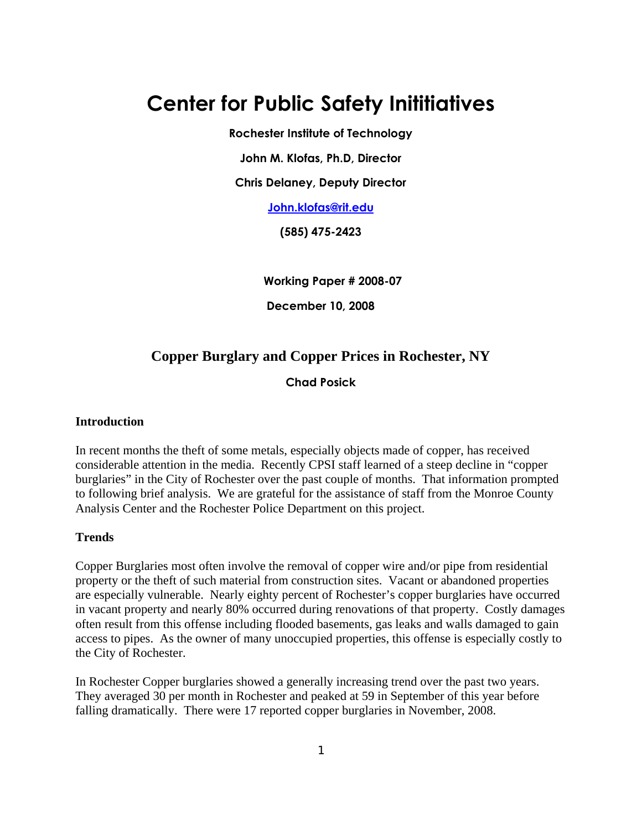## **Center for Public Safety Inititiatives**

**Rochester Institute of Technology** 

**John M. Klofas, Ph.D, Director** 

**Chris Delaney, Deputy Director** 

**John.klofas@rit.edu**

**(585) 475-2423** 

**Working Paper # 2008-07** 

**December 10, 2008** 

### **Copper Burglary and Copper Prices in Rochester, NY**

**Chad Posick**

#### **Introduction**

In recent months the theft of some metals, especially objects made of copper, has received considerable attention in the media. Recently CPSI staff learned of a steep decline in "copper burglaries" in the City of Rochester over the past couple of months. That information prompted to following brief analysis. We are grateful for the assistance of staff from the Monroe County Analysis Center and the Rochester Police Department on this project.

#### **Trends**

Copper Burglaries most often involve the removal of copper wire and/or pipe from residential property or the theft of such material from construction sites. Vacant or abandoned properties are especially vulnerable. Nearly eighty percent of Rochester's copper burglaries have occurred in vacant property and nearly 80% occurred during renovations of that property. Costly damages often result from this offense including flooded basements, gas leaks and walls damaged to gain access to pipes. As the owner of many unoccupied properties, this offense is especially costly to the City of Rochester.

In Rochester Copper burglaries showed a generally increasing trend over the past two years. They averaged 30 per month in Rochester and peaked at 59 in September of this year before falling dramatically. There were 17 reported copper burglaries in November, 2008.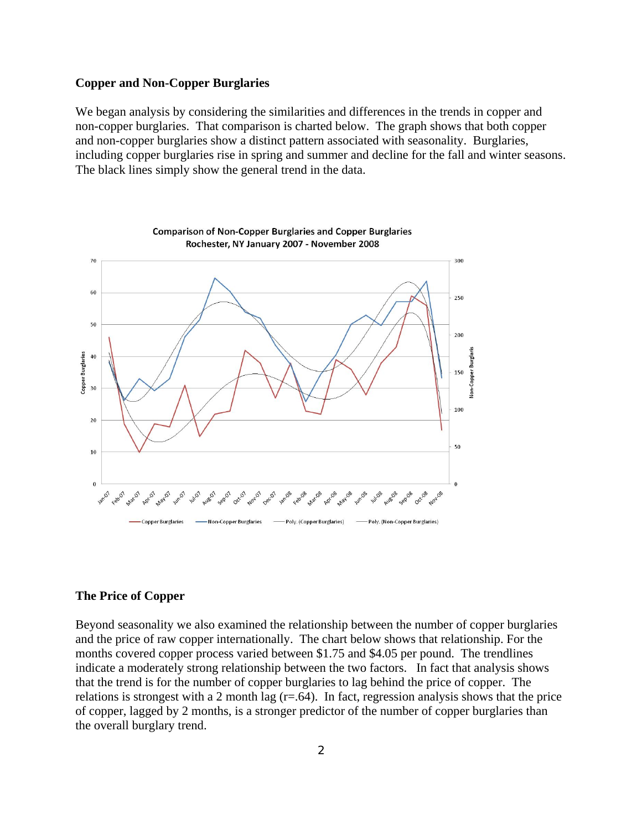#### **Copper and Non-Copper Burglaries**

We began analysis by considering the similarities and differences in the trends in copper and non-copper burglaries. That comparison is charted below. The graph shows that both copper and non-copper burglaries show a distinct pattern associated with seasonality. Burglaries, including copper burglaries rise in spring and summer and decline for the fall and winter seasons. The black lines simply show the general trend in the data.



# **Comparison of Non-Copper Burglaries and Copper Burglaries**

#### **The Price of Copper**

Beyond seasonality we also examined the relationship between the number of copper burglaries and the price of raw copper internationally. The chart below shows that relationship. For the months covered copper process varied between \$1.75 and \$4.05 per pound. The trendlines indicate a moderately strong relationship between the two factors. In fact that analysis shows that the trend is for the number of copper burglaries to lag behind the price of copper. The relations is strongest with a 2 month lag  $(r=.64)$ . In fact, regression analysis shows that the price of copper, lagged by 2 months, is a stronger predictor of the number of copper burglaries than the overall burglary trend.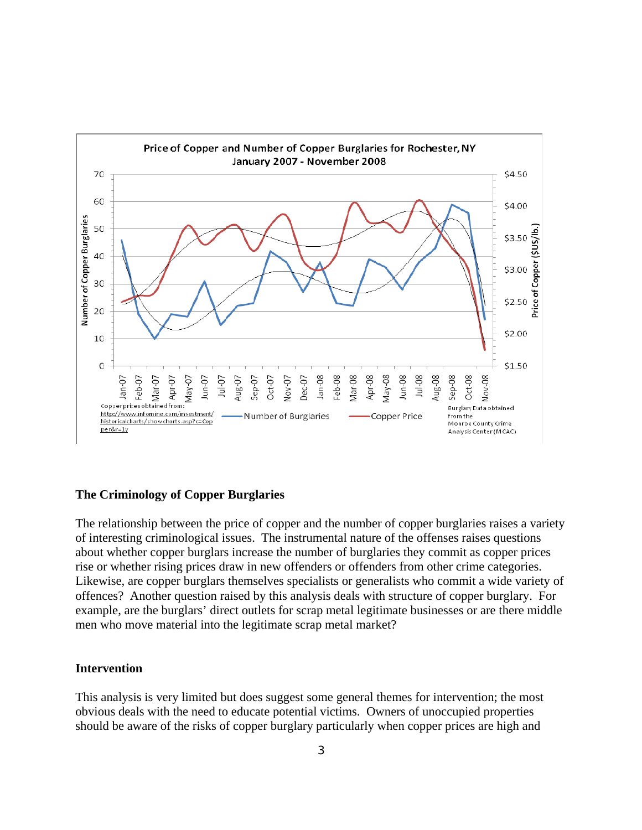

#### **The Criminology of Copper Burglaries**

The relationship between the price of copper and the number of copper burglaries raises a variety of interesting criminological issues. The instrumental nature of the offenses raises questions about whether copper burglars increase the number of burglaries they commit as copper prices rise or whether rising prices draw in new offenders or offenders from other crime categories. Likewise, are copper burglars themselves specialists or generalists who commit a wide variety of offences? Another question raised by this analysis deals with structure of copper burglary. For example, are the burglars' direct outlets for scrap metal legitimate businesses or are there middle men who move material into the legitimate scrap metal market?

#### **Intervention**

This analysis is very limited but does suggest some general themes for intervention; the most obvious deals with the need to educate potential victims. Owners of unoccupied properties should be aware of the risks of copper burglary particularly when copper prices are high and